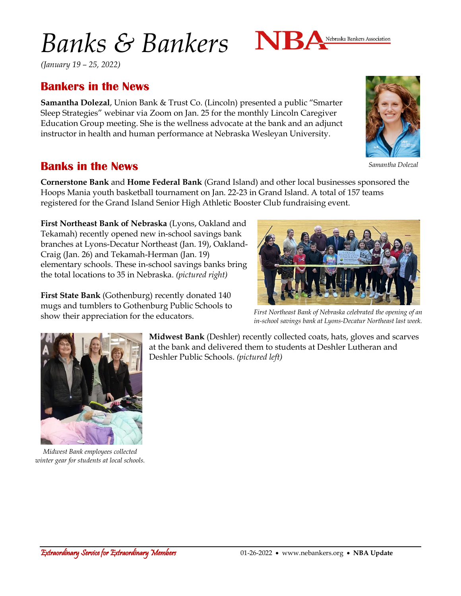# *Banks & Bankers*



## **Bankers in the News**

**Samantha Dolezal**, Union Bank & Trust Co. (Lincoln) presented a public "Smarter Sleep Strategies" webinar via Zoom on Jan. 25 for the monthly Lincoln Caregiver Education Group meeting. She is the wellness advocate at the bank and an adjunct instructor in health and human performance at Nebraska Wesleyan University.

### **Banks in the News**

**Cornerstone Bank** and **Home Federal Bank** (Grand Island) and other local businesses sponsored the Hoops Mania youth basketball tournament on Jan. 22-23 in Grand Island. A total of 157 teams registered for the Grand Island Senior High Athletic Booster Club fundraising event.

**First Northeast Bank of Nebraska** (Lyons, Oakland and Tekamah) recently opened new in-school savings bank branches at Lyons-Decatur Northeast (Jan. 19), Oakland-Craig (Jan. 26) and Tekamah-Herman (Jan. 19) elementary schools. These in-school savings banks bring the total locations to 35 in Nebraska. *(pictured right)*

**First State Bank** (Gothenburg) recently donated 140 mugs and tumblers to Gothenburg Public Schools to show their appreciation for the educators.

> **Midwest Bank** (Deshler) recently collected coats, hats, gloves and scarves at the bank and delivered them to students at Deshler Lutheran and Deshler Public Schools. *(pictured left)*

NBA



*winter gear for students at local schools.*



*in-school savings bank at Lyons-Decatur Northeast last week.*





Nebraska Bankers Association

*Samantha Dolezal*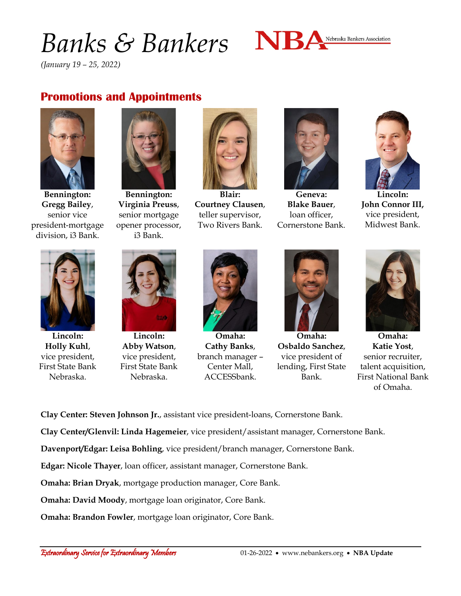# *Banks & Bankers*



*(January 19 – 25, 2022)*

#### **Promotions and Appointments**



**Bennington: Gregg Bailey**, senior vice president-mortgage division, i3 Bank.



**Bennington: Virginia Preuss**, senior mortgage opener processor, i3 Bank.



**Blair: Courtney Clausen**, teller supervisor, Two Rivers Bank.



**Geneva: Blake Bauer**, loan officer, Cornerstone Bank.



**Lincoln: John Connor III,** vice president, Midwest Bank.



**Lincoln: Holly Kuhl**, vice president, First State Bank Nebraska.



**Lincoln: Abby Watson**, vice president, First State Bank Nebraska.



**Omaha: Cathy Banks**, branch manager – Center Mall, ACCESSbank.



**Omaha: Osbaldo Sanchez**, vice president of lending, First State Bank.



**Omaha: Katie Yost**, senior recruiter, talent acquisition, First National Bank of Omaha.

**Clay Center: Steven Johnson Jr.**, assistant vice president-loans, Cornerstone Bank.

**Clay Center/Glenvil: Linda Hagemeier**, vice president/assistant manager, Cornerstone Bank.

**Davenport/Edgar: Leisa Bohling**, vice president/branch manager, Cornerstone Bank.

**Edgar: Nicole Thayer**, loan officer, assistant manager, Cornerstone Bank.

**Omaha: Brian Dryak**, mortgage production manager, Core Bank.

**Omaha: David Moody**, mortgage loan originator, Core Bank.

**Omaha: Brandon Fowler**, mortgage loan originator, Core Bank.